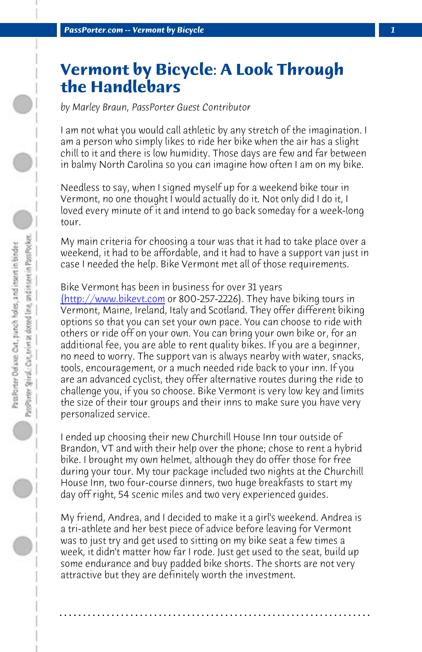**PassPorter.com -- Vermont by Bicycle** 

## **Vermont by Bicycle: A Look Through the Handlebars**

*[by Marley Braun, PassPort](http://www.bikevt.com/)er Guest Contributor*

I am not what you would call athletic by any stretch of the imagination. I am a person who simply likes to ride her bike when the air has a slight chill to it and there is low humidity. Those days are few and far between in balmy North Carolina so you can imagine how often I am on my bike.

Needless to say, when I signed myself up for a weekend bike tour in Vermont, no one thought I would actually do it. Not only did I do it, I loved every minute of it and intend to go back someday for a week-long tour.

My main criteria for choosing a tour was that it had to take place over a weekend, it had to be affordable, and it had to have a support van just in case I needed the help. Bike Vermont met all of those requirements.

Bike Vermont has been in business for over 31 years (http://www.bikevt.com or 800-257-2226). They have biking tours in Vermont, Maine, Ireland, Italy and Scotland. They offer different biking options so that you can set your own pace. You can choose to ride with others or ride off on your own. You can bring your own bike or, for an additional fee, you are able to rent quality bikes. If you are a beginner, no need to worry. The support van is always nearby with water, snacks, tools, encouragement, or a much needed ride back to your inn. If you are an advanced cyclist, they offer alternative routes during the ride to challenge you, if you so choose. Bike Vermont is very low key and limits the size of their tour groups and their inns to make sure you have very personalized service.

I ended up choosing their new Churchill House Inn tour outside of Brandon, VT and with their help over the phone; chose to rent a hybrid bike. I brought my own helmet, although they do offer those for free during your tour. My tour package included two nights at the Churchill House Inn, two four-course dinners, two huge breakfasts to start my day off right, 54 scenic miles and two very experienced guides.

My friend, Andrea, and I decided to make it a girl's weekend. Andrea is a tri-athlete and her best piece of advice before leaving for Vermont was to just try and get used to sitting on my bike seat a few times a week, it didn't matter how far I rode. Just get used to the seat, build up some endurance and buy padded bike shorts. The shorts are not very attractive but they are definitely worth the investment.

**. . . . . . . . . . . . . . . . . . . . . . . . . . . . . . . . . . . . . . . . . . . . . . . . . . . . . . . . . . . . . . . . . .**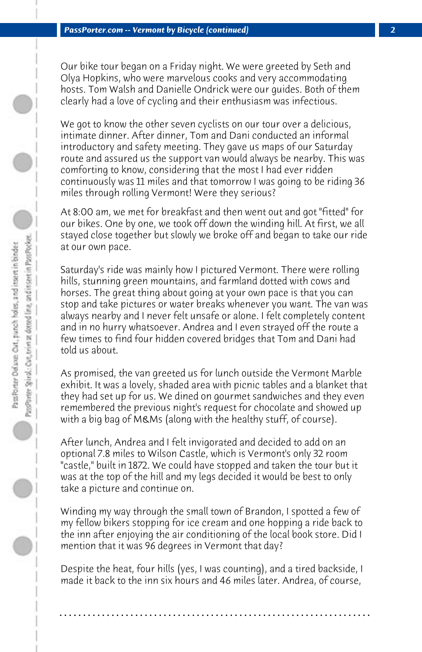Our bike tour began on a Friday night. We were greeted by Seth and Olya Hopkins, who were marvelous cooks and very accommodating hosts. Tom Walsh and Danielle Ondrick were our guides. Both of them clearly had a love of cycling and their enthusiasm was infectious.

We got to know the other seven cyclists on our tour over a delicious, intimate dinner. After dinner, Tom and Dani conducted an informal introductory and safety meeting. They gave us maps of our Saturday route and assured us the support van would always be nearby. This was comforting to know, considering that the most I had ever ridden continuously was 11 miles and that tomorrow I was going to be riding 36 miles through rolling Vermont! Were they serious?

At 8:00 am, we met for breakfast and then went out and got "fitted" for our bikes. One by one, we took off down the winding hill. At first, we all stayed close together but slowly we broke off and began to take our ride at our own pace.

Saturday's ride was mainly how I pictured Vermont. There were rolling hills, stunning green mountains, and farmland dotted with cows and horses. The great thing about going at your own pace is that you can stop and take pictures or water breaks whenever you want. The van was always nearby and I never felt unsafe or alone. I felt completely content and in no hurry whatsoever. Andrea and I even strayed off the route a few times to find four hidden covered bridges that Tom and Dani had told us about.

As promised, the van greeted us for lunch outside the Vermont Marble exhibit. It was a lovely, shaded area with picnic tables and a blanket that they had set up for us. We dined on gourmet sandwiches and they even remembered the previous night's request for chocolate and showed up with a big bag of M&Ms (along with the healthy stuff, of course).

After lunch, Andrea and I felt invigorated and decided to add on an optional 7.8 miles to Wilson Castle, which is Vermont's only 32 room "castle," built in 1872. We could have stopped and taken the tour but it was at the top of the hill and my legs decided it would be best to only take a picture and continue on.

Winding my way through the small town of Brandon, I spotted a few of my fellow bikers stopping for ice cream and one hopping a ride back to the inn after enjoying the air conditioning of the local book store. Did I mention that it was 96 degrees in Vermont that day?

Despite the heat, four hills (yes, I was counting), and a tired backside, I made it back to the inn six hours and 46 miles later. Andrea, of course,

**. . . . . . . . . . . . . . . . . . . . . . . . . . . . . . . . . . . . . . . . . . . . . . . . . . . . . . . . . . . . . . . . . .**